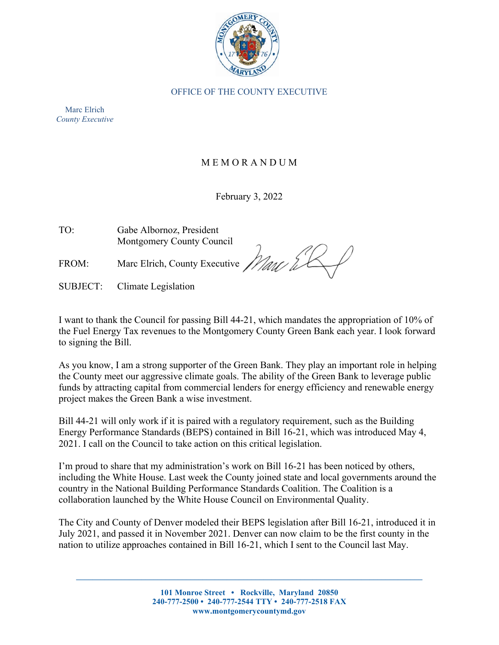

OFFICE OF THE COUNTY EXECUTIVE

Marc Elrich *County Executive*

## M E M O R A N D U M

## February 3, 2022

TO: Gabe Albornoz, President Montgomery County Council

FROM: Marc Elrich, County Executive

Marc &

SUBJECT: Climate Legislation

I want to thank the Council for passing Bill 44-21, which mandates the appropriation of 10% of the Fuel Energy Tax revenues to the Montgomery County Green Bank each year. I look forward to signing the Bill.

As you know, I am a strong supporter of the Green Bank. They play an important role in helping the County meet our aggressive climate goals. The ability of the Green Bank to leverage public funds by attracting capital from commercial lenders for energy efficiency and renewable energy project makes the Green Bank a wise investment.

Bill 44-21 will only work if it is paired with a regulatory requirement, such as the Building Energy Performance Standards (BEPS) contained in Bill 16-21, which was introduced May 4, 2021. I call on the Council to take action on this critical legislation.

I'm proud to share that my administration's work on Bill 16-21 has been noticed by others, including the White House. Last week the County joined state and local governments around the country in the National Building Performance Standards Coalition. The Coalition is a collaboration launched by the White House Council on Environmental Quality.

The City and County of Denver modeled their BEPS legislation after Bill 16-21, introduced it in July 2021, and passed it in November 2021. Denver can now claim to be the first county in the nation to utilize approaches contained in Bill 16-21, which I sent to the Council last May.

**\_\_\_\_\_\_\_\_\_\_\_\_\_\_\_\_\_\_\_\_\_\_\_\_\_\_\_\_\_\_\_\_\_\_\_\_\_\_\_\_\_\_\_\_\_\_\_\_\_\_\_\_\_\_\_\_\_\_\_\_\_\_\_\_\_\_\_\_\_\_\_\_\_\_\_\_\_\_\_\_\_\_\_\_\_**